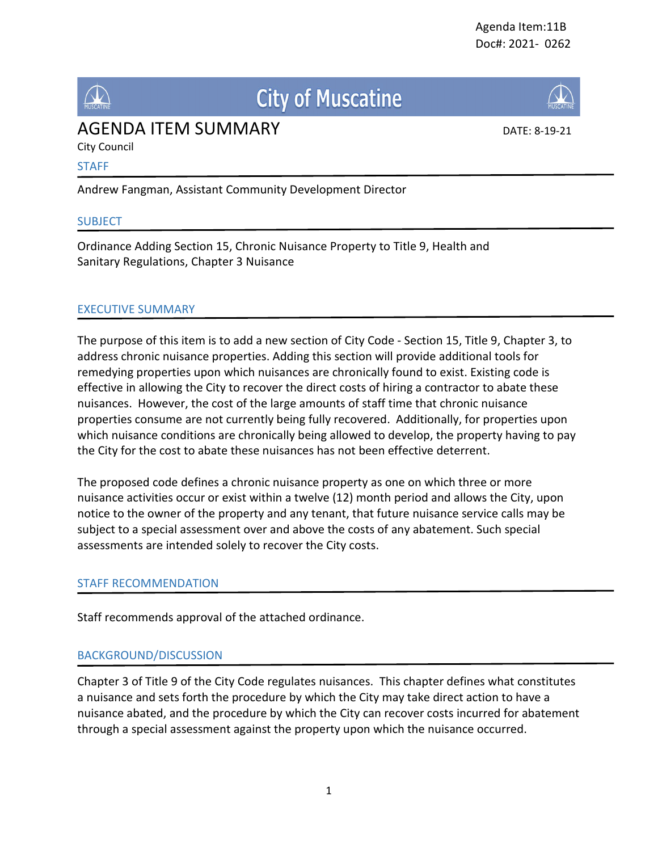

# **City of Muscatine**

# AGENDA ITEM SUMMARY DATE: 8-19-21

City Council

#### STAFF

Andrew Fangman, Assistant Community Development Director

### SUBJECT

Ordinance Adding Section 15, Chronic Nuisance Property to Title 9, Health and Sanitary Regulations, Chapter 3 Nuisance

## EXECUTIVE SUMMARY

The purpose of this item is to add a new section of City Code - Section 15, Title 9, Chapter 3, to address chronic nuisance properties. Adding this section will provide additional tools for remedying properties upon which nuisances are chronically found to exist. Existing code is effective in allowing the City to recover the direct costs of hiring a contractor to abate these nuisances. However, the cost of the large amounts of staff time that chronic nuisance properties consume are not currently being fully recovered. Additionally, for properties upon which nuisance conditions are chronically being allowed to develop, the property having to pay the City for the cost to abate these nuisances has not been effective deterrent.

The proposed code defines a chronic nuisance property as one on which three or more nuisance activities occur or exist within a twelve (12) month period and allows the City, upon notice to the owner of the property and any tenant, that future nuisance service calls may be subject to a special assessment over and above the costs of any abatement. Such special assessments are intended solely to recover the City costs.

### STAFF RECOMMENDATION

Staff recommends approval of the attached ordinance.

# BACKGROUND/DISCUSSION

Chapter 3 of Title 9 of the City Code regulates nuisances. This chapter defines what constitutes a nuisance and sets forth the procedure by which the City may take direct action to have a nuisance abated, and the procedure by which the City can recover costs incurred for abatement through a special assessment against the property upon which the nuisance occurred.

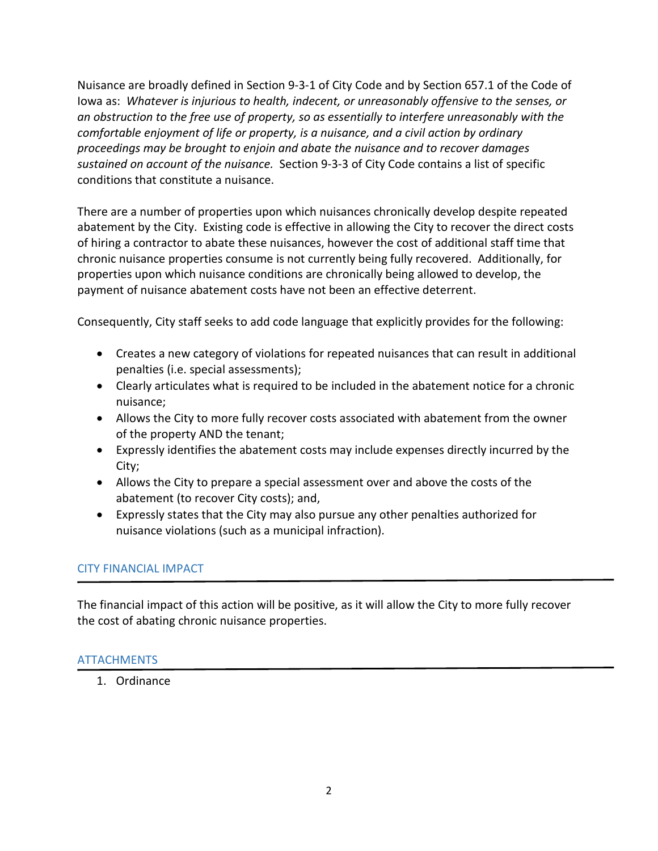Nuisance are broadly defined in Section 9-3-1 of City Code and by Section 657.1 of the Code of Iowa as: *Whatever is injurious to health, indecent, or unreasonably offensive to the senses, or an obstruction to the free use of property, so as essentially to interfere unreasonably with the comfortable enjoyment of life or property, is a nuisance, and a civil action by ordinary proceedings may be brought to enjoin and abate the nuisance and to recover damages sustained on account of the nuisance.* Section 9-3-3 of City Code contains a list of specific conditions that constitute a nuisance.

There are a number of properties upon which nuisances chronically develop despite repeated abatement by the City. Existing code is effective in allowing the City to recover the direct costs of hiring a contractor to abate these nuisances, however the cost of additional staff time that chronic nuisance properties consume is not currently being fully recovered. Additionally, for properties upon which nuisance conditions are chronically being allowed to develop, the payment of nuisance abatement costs have not been an effective deterrent.

Consequently, City staff seeks to add code language that explicitly provides for the following:

- Creates a new category of violations for repeated nuisances that can result in additional penalties (i.e. special assessments);
- Clearly articulates what is required to be included in the abatement notice for a chronic nuisance;
- Allows the City to more fully recover costs associated with abatement from the owner of the property AND the tenant;
- Expressly identifies the abatement costs may include expenses directly incurred by the City;
- Allows the City to prepare a special assessment over and above the costs of the abatement (to recover City costs); and,
- Expressly states that the City may also pursue any other penalties authorized for nuisance violations (such as a municipal infraction).

# CITY FINANCIAL IMPACT

The financial impact of this action will be positive, as it will allow the City to more fully recover the cost of abating chronic nuisance properties.

# **ATTACHMENTS**

1. Ordinance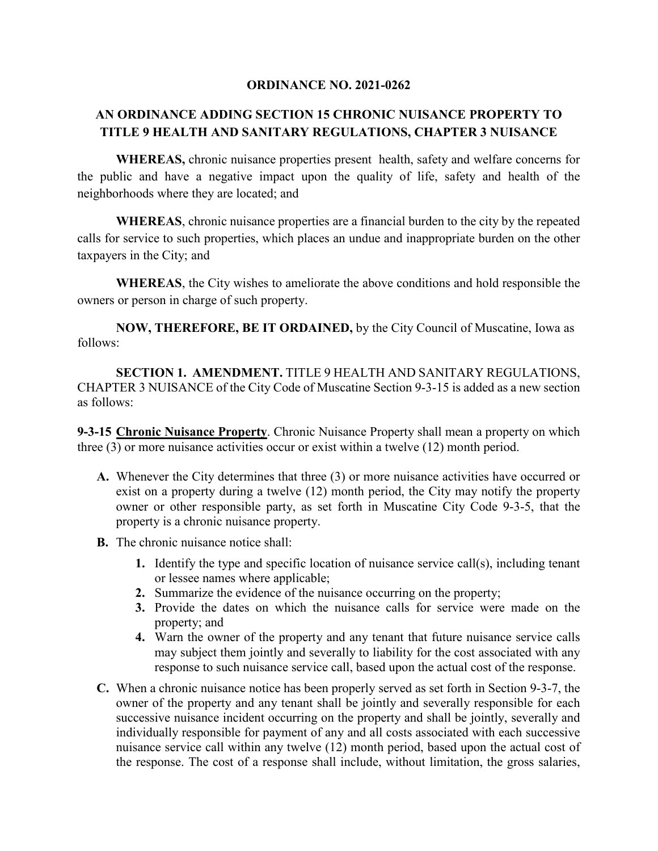### **ORDINANCE NO. 2021-0262**

# **AN ORDINANCE ADDING SECTION 15 CHRONIC NUISANCE PROPERTY TO TITLE 9 HEALTH AND SANITARY REGULATIONS, CHAPTER 3 NUISANCE**

**WHEREAS,** chronic nuisance properties present health, safety and welfare concerns for the public and have a negative impact upon the quality of life, safety and health of the neighborhoods where they are located; and

**WHEREAS**, chronic nuisance properties are a financial burden to the city by the repeated calls for service to such properties, which places an undue and inappropriate burden on the other taxpayers in the City; and

**WHEREAS**, the City wishes to ameliorate the above conditions and hold responsible the owners or person in charge of such property.

**NOW, THEREFORE, BE IT ORDAINED,** by the City Council of Muscatine, Iowa as follows:

**SECTION 1. AMENDMENT.** TITLE 9 HEALTH AND SANITARY REGULATIONS, CHAPTER 3 NUISANCE of the City Code of Muscatine Section 9-3-15 is added as a new section as follows:

**9-3-15 Chronic Nuisance Property**. Chronic Nuisance Property shall mean a property on which three (3) or more nuisance activities occur or exist within a twelve (12) month period.

- **A.** Whenever the City determines that three (3) or more nuisance activities have occurred or exist on a property during a twelve (12) month period, the City may notify the property owner or other responsible party, as set forth in Muscatine City Code 9-3-5, that the property is a chronic nuisance property.
- **B.** The chronic nuisance notice shall:
	- **1.** Identify the type and specific location of nuisance service call(s), including tenant or lessee names where applicable;
	- **2.** Summarize the evidence of the nuisance occurring on the property;
	- **3.** Provide the dates on which the nuisance calls for service were made on the property; and
	- **4.** Warn the owner of the property and any tenant that future nuisance service calls may subject them jointly and severally to liability for the cost associated with any response to such nuisance service call, based upon the actual cost of the response.
- **C.** When a chronic nuisance notice has been properly served as set forth in Section 9-3-7, the owner of the property and any tenant shall be jointly and severally responsible for each successive nuisance incident occurring on the property and shall be jointly, severally and individually responsible for payment of any and all costs associated with each successive nuisance service call within any twelve (12) month period, based upon the actual cost of the response. The cost of a response shall include, without limitation, the gross salaries,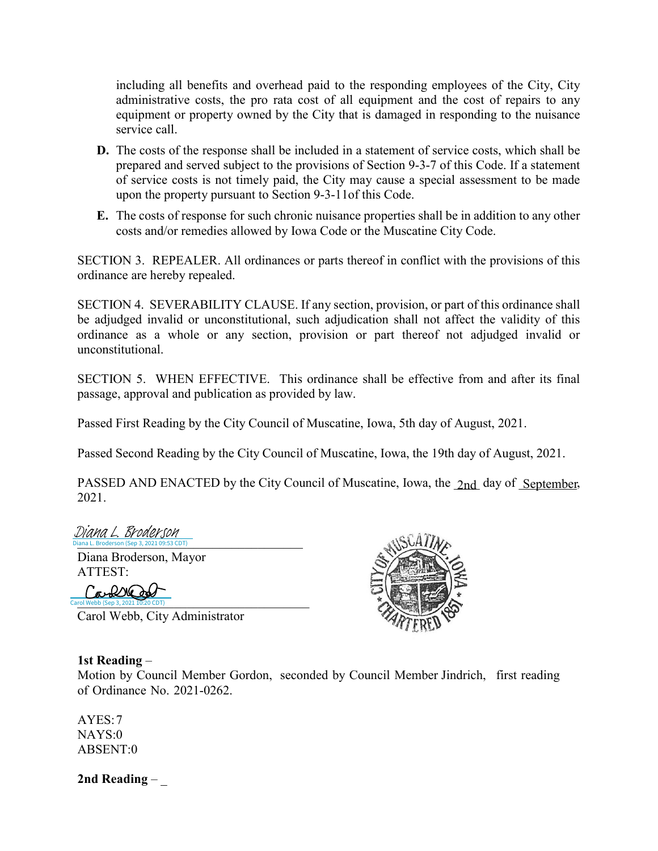including all benefits and overhead paid to the responding employees of the City, City administrative costs, the pro rata cost of all equipment and the cost of repairs to any equipment or property owned by the City that is damaged in responding to the nuisance service call.

- **D.** The costs of the response shall be included in a statement of service costs, which shall be prepared and served subject to the provisions of Section 9-3-7 of this Code. If a statement of service costs is not timely paid, the City may cause a special assessment to be made upon the property pursuant to Section 9-3-11of this Code.
- **E.** The costs of response for such chronic nuisance properties shall be in addition to any other costs and/or remedies allowed by Iowa Code or the Muscatine City Code.

SECTION 3. REPEALER. All ordinances or parts thereof in conflict with the provisions of this ordinance are hereby repealed.

SECTION 4. SEVERABILITY CLAUSE. If any section, provision, or part of this ordinance shall be adjudged invalid or unconstitutional, such adjudication shall not affect the validity of this ordinance as a whole or any section, provision or part thereof not adjudged invalid or unconstitutional.

SECTION 5. WHEN EFFECTIVE. This ordinance shall be effective from and after its final passage, approval and publication as provided by law.

Passed First Reading by the City Council of Muscatine, Iowa, 5th day of August, 2021.

Passed Second Reading by the City Council of Muscatine, Iowa, the 19th day of August, 2021.

PASSED AND ENACTED by the City Council of Muscatine, Iowa, the <sub>2nd</sub> day of September, 2021.

ana L. Broderson (Sep 3, 2021 09:53 CDT) Diana L. Broderson (Sep 3, 2021 09:53 CDT) Diana L. Broderson

Diana Broderson, Mayor ATTEST:

 $_{\text{rol Web (Sep 3, 2021 10:20 CDT)}}$ Carol Webb (Sep 3, 2021 10:20 CDT)

Carol Webb, City Administrator



### **1st Reading** –

Motion by Council Member Gordon, seconded by Council Member Jindrich, first reading of Ordinance No. 2021-0262.

AYES:7 NAYS:0 ABSENT:0

**2nd Reading** – \_